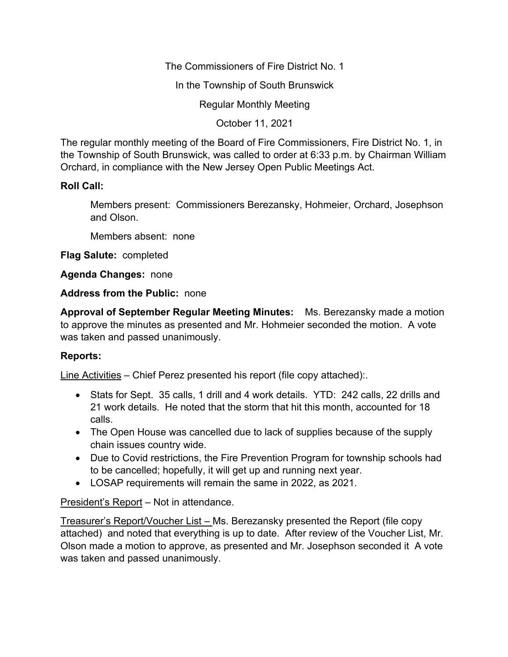The Commissioners of Fire District No. 1

In the Township of South Brunswick

Regular Monthly Meeting

October 11, 2021

The regular monthly meeting of the Board of Fire Commissioners, Fire District No. 1, in the Township of South Brunswick, was called to order at 6:33 p.m. by Chairman William Orchard, in compliance with the New Jersey Open Public Meetings Act.

## **Roll Call:**

Members present: Commissioners Berezansky, Hohmeier, Orchard, Josephson and Olson.

Members absent: none

**Flag Salute:** completed

**Agenda Changes:** none

**Address from the Public:** none

**Approval of September Regular Meeting Minutes:** Ms. Berezansky made a motion to approve the minutes as presented and Mr. Hohmeier seconded the motion. A vote was taken and passed unanimously.

## **Reports:**

Line Activities – Chief Perez presented his report (file copy attached):.

- Stats for Sept. 35 calls, 1 drill and 4 work details. YTD: 242 calls, 22 drills and 21 work details. He noted that the storm that hit this month, accounted for 18 calls.
- The Open House was cancelled due to lack of supplies because of the supply chain issues country wide.
- Due to Covid restrictions, the Fire Prevention Program for township schools had to be cancelled; hopefully, it will get up and running next year.
- LOSAP requirements will remain the same in 2022, as 2021.

President's Report – Not in attendance.

Treasurer's Report/Voucher List – Ms. Berezansky presented the Report (file copy attached) and noted that everything is up to date. After review of the Voucher List, Mr. Olson made a motion to approve, as presented and Mr. Josephson seconded it A vote was taken and passed unanimously.